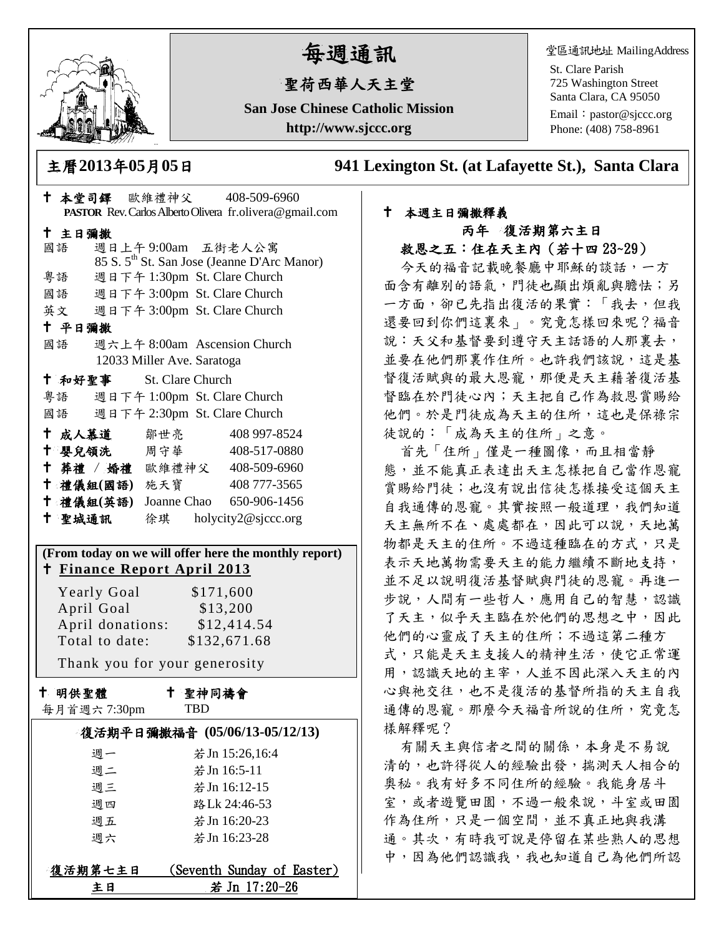

# 每週通訊

## 聖荷西華人天主堂

**San Jose Chinese Catholic Mission http://www.sjccc.org**

堂區通訊地址 MailingAddress

St. Clare Parish 725 Washington Street Santa Clara, CA 95050

Email: [pastor@sjccc.org](mailto:pastor@sjccc.org) Phone: (408) 758-8961

主曆**2013**年**05**月**05**日 **941 Lexington St. (at Lafayette St.), Santa Clara** 

#### 本堂司鐸 歐維禮神父 408-509-6960 **PASTOR** Rev. Carlos Alberto Olivera fr.olivera@gmail.com 主日彌撒 國語 週日上午 9:00am 五街老人公寓 85 S. 5th St. San Jose (Jeanne D'Arc Manor) 粵語 週日下午 1:30pm St. Clare Church 國語 週日下午 3:00pm St. Clare Church 英文 週日下午 3:00pm St. Clare Church 平日彌撒 國語 週六上午 8:00am Ascension Church 12033 Miller Ave. Saratoga 和好聖事 St. Clare Church 粵語 週日下午 1:00pm St. Clare Church 國語 週日下午 2:30pm St. Clare Church 十成人慕道 鄒世亮 408 997-8524 十 嬰兒領洗 周守華 408-517-0880 葬禮 / 婚禮 歐維禮神父 408-509-6960 禮儀組**(**國語**)** 施天寶 408 777-3565 禮儀組**(**英語**)** Joanne Chao 650-906-1456 聖城通訊 徐琪 holycity2@sjccc.org **(From today on we will offer here the monthly report) Finance [Report April 2013](http://sjccc.org/index.php/finance.html?src=bulletin112512)** Yearly Goal \$171,600 April Goal  $$13,200$  April donations: \$12,414.54 Total to date: \$132,671.68 Thank you for your generosity 十 明供聖體 每月首週六 7:30pm 聖神同禱會 TBD

| 復活期平日彌撒福音 (05/06/13-05/12/13) |                            |
|-------------------------------|----------------------------|
| 週一                            | 若 Jn 15:26,16:4            |
| 週二                            | 若 Jn 16:5-11               |
| 週三                            | 若 Jn 16:12-15              |
| 週四                            | 路Lk 24:46-53               |
| 週五                            | 若 Jn 16:20-23              |
| 调六                            | 若 Jn 16:23-28              |
|                               |                            |
| 復活期第七主日                       | (Seventh Sunday of Easter) |
| ŧΗ                            | 若 Jn 17:20-26              |

### 本週主日彌撒釋義 丙年 復活期第六主日

救恩之五:住在天主內(若十四 23~29)

今天的福音記載晚餐廳中耶穌的談話,一方 面含有離別的語氣,門徒也顯出煩亂與膽怯;另 一方面,卻已先指出復活的果實:「我去,但我 還要回到你們這裏來」。究竟怎樣回來呢?福音 說:天父和基督要到遵守天主話語的人那裏去, 並要在他們那裏作住所。也許我們該說,這是基 督復活賦與的最大恩寵,那便是天主藉著復活基 督臨在於門徒心內;天主把自己作為救恩賞賜給 他們。於是門徒成為天主的住所,這也是保祿宗 徒說的:「成為天主的住所」之意。

首先「住所」僅是一種圖像,而且相當靜 態,並不能真正表達出天主怎樣把自己當作恩寵 賞賜給門徒;也沒有說出信徒怎樣接受這個天主 自我通傳的恩寵。其實按照一般道理,我們知道 天主無所不在、處處都在,因此可以說,天地萬 物都是天主的住所。不過這種臨在的方式,只是 表示天地萬物需要天主的能力繼續不斷地支持, 並不足以說明復活基督賦與門徒的恩寵。再進一 步說,人間有一些哲人,應用自己的智慧,認識 了天主,似乎天主臨在於他們的思想之中,因此 他們的心靈成了天主的住所;不過這第二種方 式,只能是天主支援人的精神生活,使它正常運 用,認識天地的主宰,人並不因此深入天主的內 心與祂交往,也不是復活的基督所指的天主自我 通傳的恩寵。那麼今天福音所說的住所,究竟怎 樣解釋呢?

有關天主與信者之間的關係,本身是不易說 清的,也許得從人的經驗出發,揣測天人相合的 奧秘。我有好多不同住所的經驗。我能身居斗 室,或者遊覽田園,不過一般來說,斗室或田園 作為住所,只是一個空間,並不真正地與我溝 通。其次,有時我可說是停留在某些熟人的思想 中,因為他們認識我,我也知道自己為他們所認